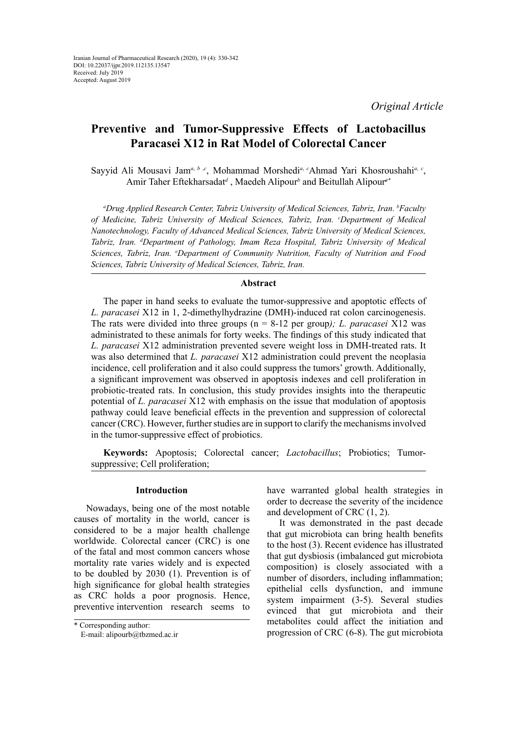*Original Article*

# **Preventive and Tumor-Suppressive Effects of Lactobacillus Paracasei X12 in Rat Model of Colorectal Cancer**

Sayyid Ali Mousavi Jam<sup>a, b,c</sup>, Mohammad Morshedi<sup>a, c</sup>Ahmad Yari Khosroushahi<sup>a, c</sup>, Amir Taher Eftekharsadat*<sup>d</sup>* , Maedeh Alipour*<sup>b</sup>* and Beitullah Alipour*e\**

*a Drug Applied Research Center, Tabriz University of Medical Sciences, Tabriz, Iran. b Faculty*  of Medicine, Tabriz University of Medical Sciences, Tabriz, Iran. *°Department of Medical Nanotechnology, Faculty of Advanced Medical Sciences, Tabriz University of Medical Sciences, Tabriz, Iran. d Department of Pathology, Imam Reza Hospital, Tabriz University of Medical Sciences, Tabriz, Iran. e Department of Community Nutrition, Faculty of Nutrition and Food Sciences, Tabriz University of Medical Sciences, Tabriz, Iran.*

## **Abstract**

The paper in hand seeks to evaluate the tumor-suppressive and apoptotic effects of *L. paracasei* X12 in 1, 2‐dimethylhydrazine (DMH)-induced rat colon carcinogenesis. The rats were divided into three groups (n = 8-12 per group*); L. paracasei* X12 was administrated to these animals for forty weeks. The findings of this study indicated that *L. paracasei* X12 administration prevented severe weight loss in DMH-treated rats. It was also determined that *L. paracasei* X12 administration could prevent the neoplasia incidence, cell proliferation and it also could suppress the tumors' growth. Additionally, a significant improvement was observed in apoptosis indexes and cell proliferation in probiotic-treated rats. In conclusion, this study provides insights into the therapeutic potential of *L. paracasei* X12 with emphasis on the issue that modulation of apoptosis pathway could leave beneficial effects in the prevention and suppression of colorectal cancer (CRC). However, further studies are in support to clarify the mechanisms involved in the tumor-suppressive effect of probiotics.

**Keywords:** Apoptosis; Colorectal cancer; *Lactobacillus*; Probiotics; Tumorsuppressive; Cell proliferation;

## **Introduction**

Nowadays, being one of the most notable causes of mortality in the world, cancer is considered to be a major health challenge worldwide. Colorectal cancer (CRC) is one of the fatal and most common cancers whose mortality rate varies widely and is expected to be doubled by 2030 (1). Prevention is of high significance for global health strategies as CRC holds a poor prognosis. Hence, preventive intervention research seems to

have warranted global health strategies in order to decrease the severity of the incidence and development of CRC (1, 2).

It was demonstrated in the past decade that gut microbiota can bring health benefits to the host (3). Recent evidence has illustrated that gut dysbiosis (imbalanced gut microbiota composition) is closely associated with a number of disorders, including inflammation; epithelial cells dysfunction, and immune system impairment (3-5). Several studies evinced that gut microbiota and their metabolites could affect the initiation and progression of CRC (6-8). The gut microbiota

<sup>\*</sup> Corresponding author:

E-mail: alipourb@tbzmed.ac.ir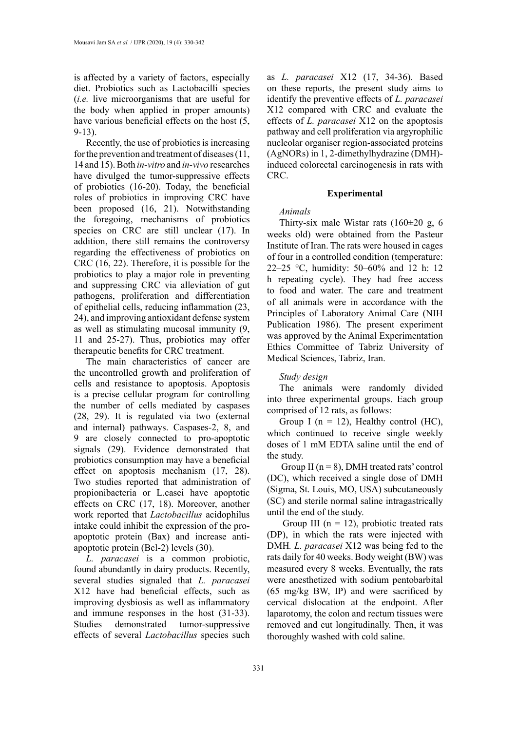is affected by a variety of factors, especially diet. Probiotics such as Lactobacilli species (*i.e.* live microorganisms that are useful for the body when applied in proper amounts) have various beneficial effects on the host (5, 9-13).

Recently, the use of probiotics is increasing for the prevention and treatment of diseases (11, 14 and 15). Both *in-vitro* and *in-vivo* researches have divulged the tumor-suppressive effects of probiotics (16-20). Today, the beneficial roles of probiotics in improving CRC have been proposed (16, 21). Notwithstanding the foregoing, mechanisms of probiotics species on CRC are still unclear (17). In addition, there still remains the controversy regarding the effectiveness of probiotics on CRC (16, 22). Therefore, it is possible for the probiotics to play a major role in preventing and suppressing CRC via alleviation of gut pathogens, proliferation and differentiation of epithelial cells, reducing inflammation (23, 24), and improving antioxidant defense system as well as stimulating mucosal immunity (9, 11 and 25-27). Thus, probiotics may offer therapeutic benefits for CRC treatment.

The main characteristics of cancer are the uncontrolled growth and proliferation of cells and resistance to apoptosis. Apoptosis is a precise cellular program for controlling the number of cells mediated by caspases (28, 29). It is regulated via two (external and internal) pathways. Caspases-2, 8, and 9 are closely connected to pro-apoptotic signals (29). Evidence demonstrated that probiotics consumption may have a beneficial effect on apoptosis mechanism (17, 28). Two studies reported that administration of propionibacteria or L.casei have apoptotic effects on CRC (17, 18). Moreover, another work reported that *Lactobacillus* acidophilus intake could inhibit the expression of the proapoptotic protein (Bax) and increase antiapoptotic protein (Bcl-2) levels (30).

*L. paracasei* is a common probiotic, found abundantly in dairy products. Recently, several studies signaled that *L. paracasei* X12 have had beneficial effects, such as improving dysbiosis as well as inflammatory and immune responses in the host (31-33). Studies demonstrated tumor-suppressive effects of several *Lactobacillus* species such

as *L. paracasei* X12 (17, 34-36). Based on these reports, the present study aims to identify the preventive effects of *L. paracasei* X12 compared with CRC and evaluate the effects of *L. paracasei* X12 on the apoptosis pathway and cell proliferation via argyrophilic nucleolar organiser region-associated proteins (AgNORs) in 1, 2-dimethylhydrazine (DMH) induced colorectal carcinogenesis in rats with CRC.

## **Experimental**

### *Animals*

Thirty-six male Wistar rats (160±20 g, 6 weeks old) were obtained from the Pasteur Institute of Iran. The rats were housed in cages of four in a controlled condition (temperature: 22–25 °C, humidity: 50–60% and 12 h: 12 h repeating cycle). They had free access to food and water. The care and treatment of all animals were in accordance with the Principles of Laboratory Animal Care (NIH Publication 1986). The present experiment was approved by the Animal Experimentation Ethics Committee of Tabriz University of Medical Sciences, Tabriz, Iran.

## *Study design*

The animals were randomly divided into three experimental groups. Each group comprised of 12 rats, as follows:

Group I ( $n = 12$ ), Healthy control (HC), which continued to receive single weekly doses of 1 mM EDTA saline until the end of the study.

Group II ( $n = 8$ ), DMH treated rats' control (DC), which received a single dose of DMH (Sigma, St. Louis, MO, USA) subcutaneously (SC) and sterile normal saline intragastrically until the end of the study.

Group III ( $n = 12$ ), probiotic treated rats (DP), in which the rats were injected with DMH*. L. paracasei* X12 was being fed to the rats daily for 40 weeks. Body weight (BW) was measured every 8 weeks. Eventually, the rats were anesthetized with sodium pentobarbital (65 mg/kg BW, IP) and were sacrificed by cervical dislocation at the endpoint. After laparotomy, the colon and rectum tissues were removed and cut longitudinally. Then, it was thoroughly washed with cold saline.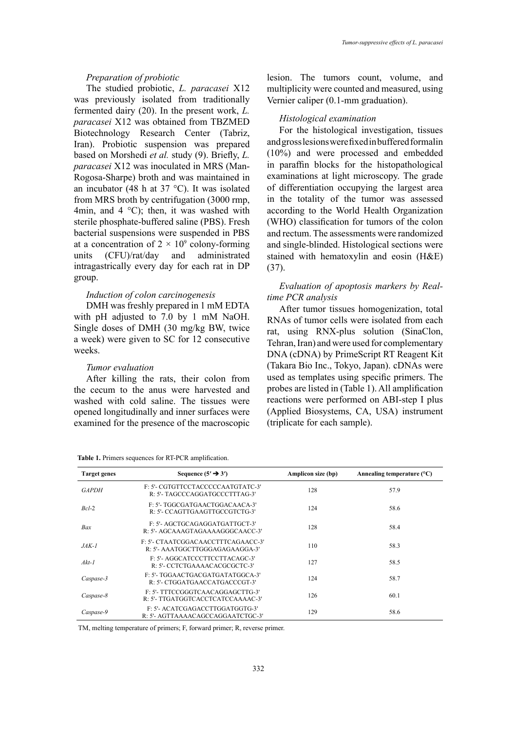## *Preparation of probiotic*

The studied probiotic, *L. paracasei* X12 was previously isolated from traditionally fermented dairy (20). In the present work, *L. paracasei* X12 was obtained from TBZMED Biotechnology Research Center (Tabriz, Iran). Probiotic suspension was prepared based on Morshedi *et al.* study (9). Briefly, *L. paracasei* X12 was inoculated in MRS (Man-Rogosa-Sharpe) broth and was maintained in an incubator (48 h at  $37^{\circ}$ C). It was isolated from MRS broth by centrifugation (3000 rmp, 4min, and 4  $^{\circ}$ C); then, it was washed with sterile phosphate-buffered saline (PBS). Fresh bacterial suspensions were suspended in PBS at a concentration of  $2 \times 10^9$  colony-forming units (CFU)/rat/day and administrated intragastrically every day for each rat in DP group.

#### *Induction of colon carcinogenesis*

DMH was freshly prepared in 1 mM EDTA with pH adjusted to 7.0 by 1 mM NaOH. Single doses of DMH (30 mg/kg BW, twice a week) were given to SC for 12 consecutive weeks.

#### *Tumor evaluation*

After killing the rats, their colon from the cecum to the anus were harvested and washed with cold saline. The tissues were opened longitudinally and inner surfaces were examined for the presence of the macroscopic

|  | Table 1. Primers sequences for RT-PCR amplification. |
|--|------------------------------------------------------|

lesion. The tumors count, volume, and multiplicity were counted and measured, using Vernier caliper (0.1-mm graduation).

## *Histological examination*

For the histological investigation, tissues and gross lesions were fixed in buffered formalin (10%) and were processed and embedded in paraffin blocks for the histopathological examinations at light microscopy. The grade of differentiation occupying the largest area in the totality of the tumor was assessed according to the World Health Organization (WHO) classification for tumors of the colon and rectum. The assessments were randomized and single-blinded. Histological sections were stained with hematoxylin and eosin (H&E) (37).

# *Evaluation of apoptosis markers by Realtime PCR analysis*

After tumor tissues homogenization, total RNAs of tumor cells were isolated from each rat, using RNX-plus solution (SinaClon, Tehran, Iran) and were used for complementary DNA (cDNA) by PrimeScript RT Reagent Kit (Takara Bio Inc., Tokyo, Japan). cDNAs were used as templates using specific primers. The probes are listed in (Table 1). All amplification reactions were performed on ABI-step I plus (Applied Biosystems, CA, USA) instrument (triplicate for each sample).

| <b>Target genes</b> | Sequence $(5' \rightarrow 3')$                                        | Amplicon size (bp) | Annealing temperature $(^{\circ}C)$ |
|---------------------|-----------------------------------------------------------------------|--------------------|-------------------------------------|
| <b>GAPDH</b>        | F: 5'- CGTGTTCCTACCCCCAATGTATC-3'<br>R: 5'- TAGCCCAGGATGCCCTTTAG-3'   | 128                | 57.9                                |
| $Rcl-2$             | F: 5'- TGGCGATGAACTGGACAACA-3'<br>R: 5'- CCAGTTGAAGTTGCCGTCTG-3'      | 124                | 58.6                                |
| Bax                 | F: 5'- AGCTGCAGAGGATGATTGCT-3'<br>R: 5'- AGCAAAGTAGAAAAGGGCAACC-3'    | 128                | 58.4                                |
| $JAK-I$             | F: 5'- CTAATCGGACAACCTTTCAGAACC-3'<br>R: 5'- AAATGGCTTGGGAGAGAAGGA-3' | 110                | 58.3                                |
| $Akt-1$             | F: 5'- AGGCATCCCTTCCTTACAGC-3'<br>R: 5'- CCTCTGAAAACACGCGCTC-3'       | 127                | 58.5                                |
| Caspase-3           | F: 5'- TGGAACTGACGATGATATGGCA-3'<br>R: 5'- CTGGATGAACCATGACCCGT-3'    | 124                | 58.7                                |
| Caspase-8           | F: 5'- TTTCCGGGTCAACAGGAGCTTG-3'<br>R: 5'- TTGATGGTCACCTCATCCAAAAC-3' | 126                | 60.1                                |
| Caspase-9           | F: 5'- ACATCGAGACCTTGGATGGTG-3'<br>R: 5'- AGTTAAAACAGCCAGGAATCTGC-3'  | 129                | 58.6                                |

 $T$  melting temperature of primers; F, forward primers; F, forward primers; R, reverse primers; R, reverse primer. TM, melting temperature of primers; F, forward primer; R, reverse primer.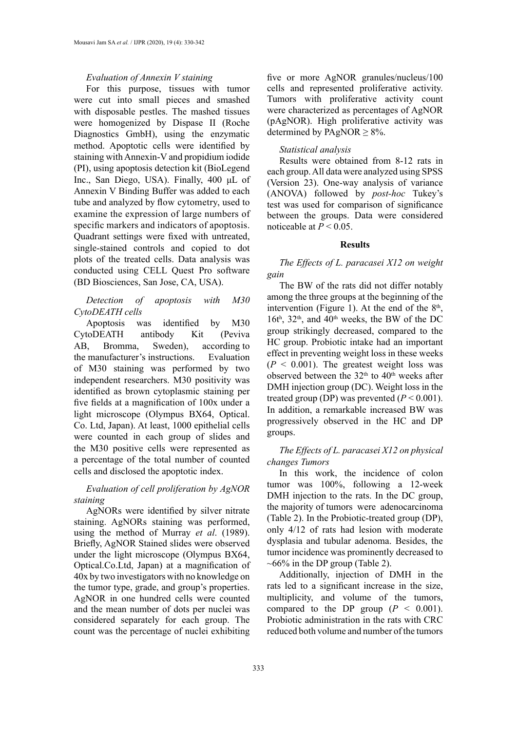#### *Evaluation of Annexin V staining*

For this purpose, tissues with tumor were cut into small pieces and smashed with disposable pestles. The mashed tissues were homogenized by Dispase II (Roche Diagnostics GmbH), using the enzymatic method. Apoptotic cells were identified by staining with Annexin-V and propidium iodide (PI), using apoptosis detection kit (BioLegend Inc., San Diego, USA). Finally, 400 μL of Annexin V Binding Buffer was added to each tube and analyzed by flow cytometry, used to examine the expression of large numbers of specific markers and indicators of apoptosis. Quadrant settings were fixed with untreated, single-stained controls and copied to dot plots of the treated cells. Data analysis was conducted using CELL Quest Pro software (BD Biosciences, San Jose, CA, USA).

# *Detection of apoptosis with M30 CytoDEATH cells*

Apoptosis was identified by M30 CytoDEATH antibody Kit (Peviva AB, Bromma, Sweden), according to the manufacturer's instructions. Evaluation of M30 staining was performed by two independent researchers. M30 positivity was identified as brown cytoplasmic staining per five fields at a magnification of 100x under a light microscope (Olympus BX64, Optical. Co. Ltd, Japan). At least, 1000 epithelial cells were counted in each group of slides and the M30 positive cells were represented as a percentage of the total number of counted cells and disclosed the apoptotic index.

# *Evaluation of cell proliferation by AgNOR staining*

AgNORs were identified by silver nitrate staining. AgNORs staining was performed, using the method of Murray *et al*. (1989). Briefly, AgNOR Stained slides were observed under the light microscope (Olympus BX64, Optical.Co.Ltd, Japan) at a magnification of 40x by two investigators with no knowledge on the tumor type, grade, and group's properties. AgNOR in one hundred cells were counted and the mean number of dots per nuclei was considered separately for each group. The count was the percentage of nuclei exhibiting

five or more AgNOR granules/nucleus/100 cells and represented proliferative activity. Tumors with proliferative activity count were characterized as percentages of AgNOR (pAgNOR). High proliferative activity was determined by PAgNOR  $\geq$  8%.

## *Statistical analysis*

Results were obtained from 8-12 rats in each group. All data were analyzed using SPSS (Version 23). One-way analysis of variance (ANOVA) followed by *post-hoc* Tukey's test was used for comparison of significance between the groups. Data were considered noticeable at  $P < 0.05$ .

## **Results**

# *The Effects of L. paracasei X12 on weight gain*

The BW of the rats did not differ notably among the three groups at the beginning of the intervention (Figure 1). At the end of the  $8<sup>th</sup>$ , 16t<sup>h</sup>,  $32<sup>th</sup>$ , and  $40<sup>th</sup>$  weeks, the BW of the DC group strikingly decreased, compared to the HC group. Probiotic intake had an important effect in preventing weight loss in these weeks  $(P < 0.001)$ . The greatest weight loss was observed between the  $32<sup>th</sup>$  to  $40<sup>th</sup>$  weeks after DMH injection group (DC). Weight loss in the treated group (DP) was prevented  $(P < 0.001)$ . In addition, a remarkable increased BW was progressively observed in the HC and DP groups.

# *The Effects of L. paracasei X12 on physical changes Tumors*

In this work, the incidence of colon tumor was 100%, following a 12-week DMH injection to the rats. In the DC group, the majority of tumors were adenocarcinoma (Table 2). In the Probiotic-treated group (DP), only 4/12 of rats had lesion with moderate dysplasia and tubular adenoma. Besides, the tumor incidence was prominently decreased to  $\sim 66\%$  in the DP group (Table 2).

Additionally, injection of DMH in the rats led to a significant increase in the size, multiplicity, and volume of the tumors, compared to the DP group  $(P < 0.001)$ . Probiotic administration in the rats with CRC reduced both volume and number of the tumors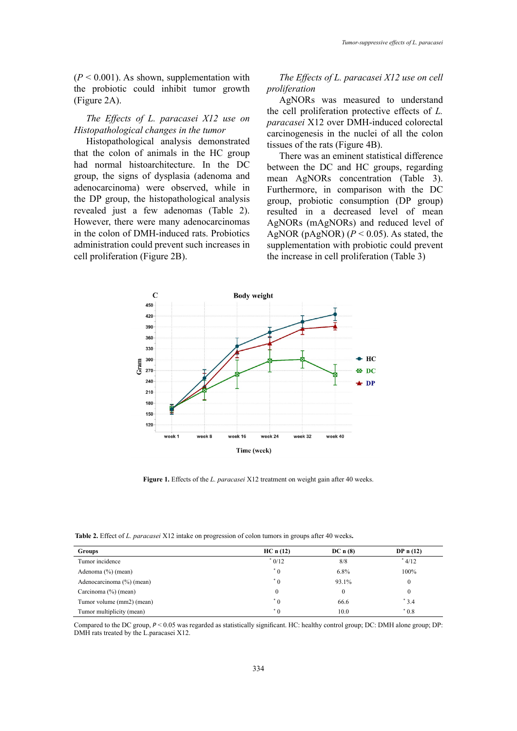$(P < 0.001)$ . As shown, supplementation with the probiotic could inhibit tumor growth (Figure 2A).

# *The Effects of L. paracasei X12 use on Histopathological changes in the tumor*

Histopathological analysis demonstrated that the colon of animals in the HC group had normal histoarchitecture. In the DC group, the signs of dysplasia (adenoma and adenocarcinoma) were observed, while in the DP group, the histopathological analysis revealed just a few adenomas (Table 2). However, there were many adenocarcinomas in the colon of DMH-induced rats. Probiotics administration could prevent such increases in cell proliferation (Figure 2B).

*The Effects of L. paracasei X12 use on cell proliferation* 

AgNORs was measured to understand the cell proliferation protective effects of *L. paracasei* X12 over DMH-induced colorectal carcinogenesis in the nuclei of all the colon tissues of the rats (Figure 4B).

There was an eminent statistical difference between the DC and HC groups, regarding mean AgNORs concentration (Table 3). Furthermore, in comparison with the DC group, probiotic consumption (DP group) resulted in a decreased level of mean AgNORs (mAgNORs) and reduced level of AgNOR (pAgNOR)  $(P < 0.05)$ . As stated, the supplementation with probiotic could prevent the increase in cell proliferation (Table 3)



**Figure 1.** Effects of the *L. paracasei* X12 treatment on weight gain after 40 weeks.

**Table 2.** Effect of *L. paracasei* X12 intake on progression of colon tumors in groups after 40 weeks**.**

| <b>Groups</b>             | HC n (12) | DC n (8) | DP $n(12)$ |
|---------------------------|-----------|----------|------------|
| Tumor incidence           | $*0/12$   | 8/8      | $*$ 4/12   |
| Adenoma (%) (mean)        | $^*$ 0    | $6.8\%$  | 100%       |
| Adenocarcinoma (%) (mean) | $^*$ 0    | 93.1%    | 0          |
| Carcinoma (%) (mean)      | $\theta$  | $\theta$ | 0          |
| Tumor volume (mm2) (mean) | $^*$ 0    | 66.6     | $*3.4$     |
| Tumor multiplicity (mean) | $^*$ 0    | 10.0     | $*0.8$     |

Compared to the DC group,  $P < 0.05$  was regarded as statistically significant. HC: healthy control group; DC: DMH alone group; DP: DMH rats treated by the L.paracasei X12.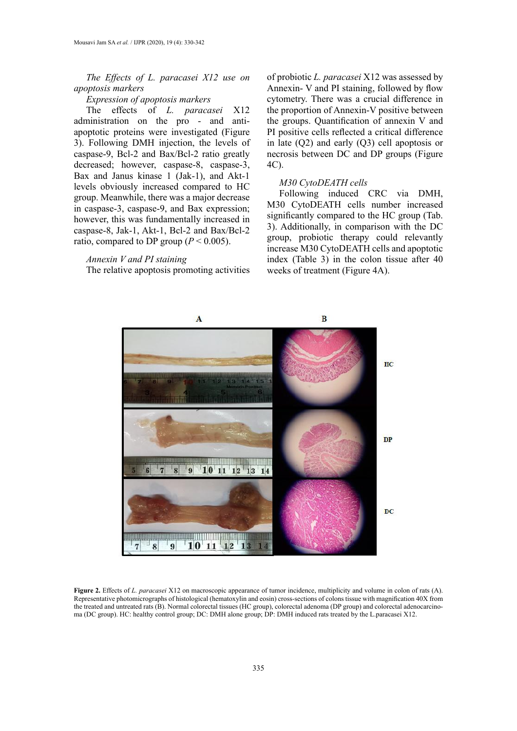*The Effects of L. paracasei X12 use on apoptosis markers*

# *Expression of apoptosis markers*

The effects of *L. paracasei* X12 administration on the pro - and antiapoptotic proteins were investigated (Figure 3). Following DMH injection, the levels of caspase-9, Bcl-2 and Bax/Bcl-2 ratio greatly decreased; however, caspase-8, caspase-3, Bax and Janus kinase  $1$  (Jak-1), and Akt-1 levels obviously increased compared to HC group. Meanwhile, there was a major decrease in caspase-3, caspase-9, and Bax expression; however, this was fundamentally increased in caspase-8, Jak-1, Akt-1, Bcl-2 and Bax/Bcl-2 ratio, compared to DP group ( $P < 0.005$ ).

## *Annexin V and PI staining*

The relative apoptosis promoting activities

of probiotic *L. paracasei* X12 was assessed by Annexin- V and PI staining, followed by flow cytometry. There was a crucial difference in the proportion of Annexin-V positive between the groups. Quantification of annexin V and PI positive cells reflected a critical difference in late (Q2) and early (Q3) cell apoptosis or necrosis between DC and DP groups (Figure 4C).

#### *M30 CytoDEATH cells*

Following induced CRC via DMH, M30 CytoDEATH cells number increased significantly compared to the HC group (Tab. 3). Additionally, in comparison with the DC group, probiotic therapy could relevantly increase M30 CytoDEATH cells and apoptotic index (Table 3) in the colon tissue after 40 weeks of treatment (Figure 4A).



Figure 2. Effects of L. paracasei X12 on macroscopic appearance of tumor incidence, multiplicity and volume in colon of rats (A). Representative photomicrographs of histological (hematoxylin and eosin) cross-sections of colons tissue with magnification 40X from the treated and untreated rats (B). Normal colorectal tissues (HC group), colorectal adenoma (DP group) and colorectal adenocarcinoma (DC group). HC: healthy control group; DC: DMH alone group; DP: DMH induced rats treated by the L.paracasei X12.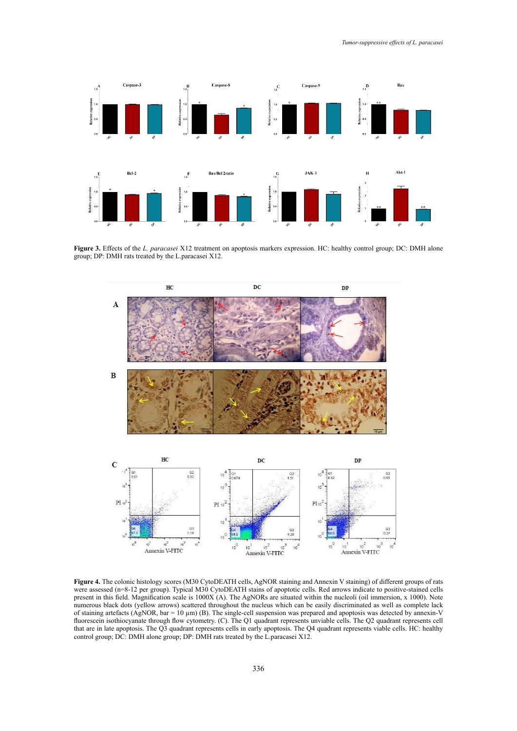

Figure 3. Effects of the *L. paracasei* X12 treatment on apoptosis markers expression. HC: healthy control group; DC: DMH alone group; DP: DMH rats treated by the L.paracasei X12.



Figure 4. The colonic histology scores (M30 CytoDEATH cells, AgNOR staining and Annexin V staining) of different groups of rats were assessed (n=8-12 per group). Typical M30 CytoDEATH stains of apoptotic cells. Red arrows indicate to positive-stained cells present in this field. Magnification scale is 1000X (A). The AgNORs are situated within the nucleoli (oil immersion, x 1000). Note numerous black dots (yellow arrows) scattered throughout the nucleus which can be easily discriminated as well as complete lack of staining artefacts ( $\angle$ AgNOR, bar = 10 µm) (B). The single-cell suspension was prepared and apoptosis was detected by annexin-V fluorescein isothiocyanate through flow cytometry. (C). The Q1 quadrant represents unviable cells. The Q2 quadrant represents cell that are in late apoptosis. The Q3 quadrant represents cells in early apoptosis. The Q4 quadrant represents viable cells. HC: healthy control group; DC: DMH alone group; DP: DMH rats treated by the L.paracasei X12.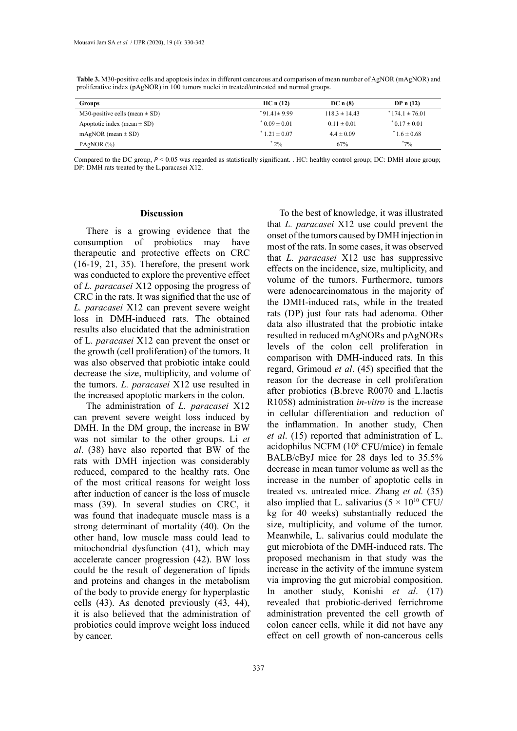| <b>Groups</b>                      | HC n (12)         | DC n (8)          | DP $n(12)$         |
|------------------------------------|-------------------|-------------------|--------------------|
| M30-positive cells (mean $\pm$ SD) | $*91.41 \pm 9.99$ | $118.3 \pm 14.43$ | $*174.1 \pm 76.01$ |
| Apoptotic index (mean $\pm$ SD)    | $0.09 \pm 0.01$   | $0.11 \pm 0.01$   | $*0.17 \pm 0.01$   |
| mAgNOR (mean $\pm$ SD)             | $1.21 \pm 0.07$   | $4.4 \pm 0.09$    | $1.6 \pm 0.68$     |
| PAgNOR $(%)$                       | $^{\degree}$ 2%   | 67%               | $*_{7\%}$          |

Table 3. M30-positive cells and apoptosis index in different cancerous and comparison of mean number of AgNOR (mAgNOR) and proliferative index (pAgNOR) in 100 tumors nuclei in treated/untreated and normal groups.

DP: DMH rats treated by the L.paracasei X12. Compared to the DC group,  $P < 0.05$  was regarded as statistically significant. . HC: healthy control group; DC: DMH alone group;

#### **Discussion**

There is a growing evidence that the consumption of probiotics may have therapeutic and protective effects on CRC (16-19, 21, 35). Therefore, the present work was conducted to explore the preventive effect of *L. paracasei* X12 opposing the progress of CRC in the rats. It was signified that the use of *L. paracasei* X12 can prevent severe weight loss in DMH-induced rats. The obtained results also elucidated that the administration of L. *paracasei* X12 can prevent the onset or the growth (cell proliferation) of the tumors. It was also observed that probiotic intake could decrease the size, multiplicity, and volume of the tumors. *L. paracasei* X12 use resulted in the increased apoptotic markers in the colon.

The administration of *L. paracasei* X12 can prevent severe weight loss induced by DMH. In the DM group, the increase in BW was not similar to the other groups. Li *et al*. (38) have also reported that BW of the rats with DMH injection was considerably reduced, compared to the healthy rats. One of the most critical reasons for weight loss after induction of cancer is the loss of muscle mass (39). In several studies on CRC, it was found that inadequate muscle mass is a strong determinant of mortality (40). On the other hand, low muscle mass could lead to mitochondrial dysfunction (41), which may accelerate cancer progression (42). BW loss could be the result of degeneration of lipids and proteins and changes in the metabolism of the body to provide energy for hyperplastic cells (43). As denoted previously (43, 44), it is also believed that the administration of probiotics could improve weight loss induced by cancer.

To the best of knowledge, it was illustrated that *L. paracasei* X12 use could prevent the onset of the tumors caused by DMH injection in most of the rats. In some cases, it was observed that *L. paracasei* X12 use has suppressive effects on the incidence, size, multiplicity, and volume of the tumors. Furthermore, tumors were adenocarcinomatous in the majority of the DMH-induced rats, while in the treated rats (DP) just four rats had adenoma. Other data also illustrated that the probiotic intake resulted in reduced mAgNORs and pAgNORs levels of the colon cell proliferation in comparison with DMH-induced rats. In this regard, Grimoud *et al*. (45) specified that the reason for the decrease in cell proliferation after probiotics (B.breve R0070 and L.lactis R1058) administration *in-vitro* is the increase in cellular differentiation and reduction of the inflammation. In another study, Chen *et al*. (15) reported that administration of L. acidophilus NCFM (108 CFU/mice) in female BALB/cByJ mice for 28 days led to 35.5% decrease in mean tumor volume as well as the increase in the number of apoptotic cells in treated vs. untreated mice. Zhang *et al.* (35) also implied that L. salivarius  $(5 \times 10^{10} \text{ CFU})$ kg for 40 weeks) substantially reduced the size, multiplicity, and volume of the tumor. Meanwhile, L. salivarius could modulate the gut microbiota of the DMH-induced rats. The proposed mechanism in that study was the increase in the activity of the immune system via improving the gut microbial composition. In another study, Konishi *et al*. (17) revealed that probiotic-derived ferrichrome administration prevented the cell growth of colon cancer cells, while it did not have any effect on cell growth of non-cancerous cells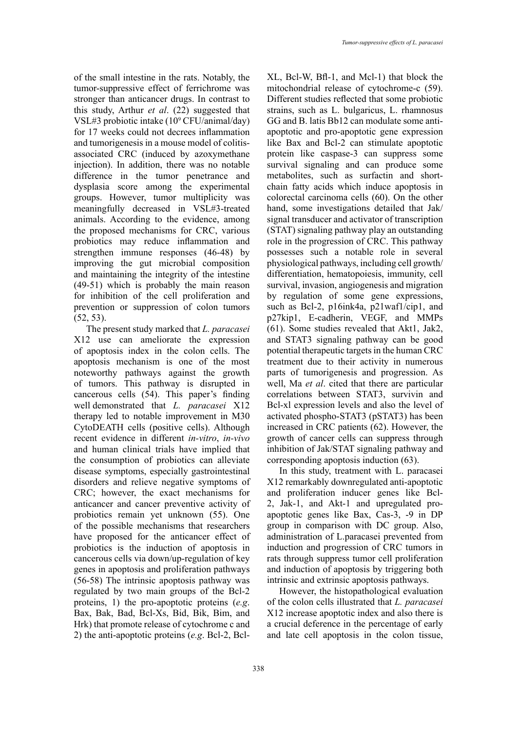of the small intestine in the rats. Notably, the tumor-suppressive effect of ferrichrome was stronger than anticancer drugs. In contrast to this study, Arthur *et al*. (22) suggested that VSL#3 probiotic intake (109 CFU/animal/day) for 17 weeks could not decrees inflammation and tumorigenesis in a mouse model of colitisassociated CRC (induced by azoxymethane injection). In addition, there was no notable difference in the tumor penetrance and dysplasia score among the experimental groups. However, tumor multiplicity was meaningfully decreased in VSL#3-treated animals. According to the evidence, among the proposed mechanisms for CRC, various probiotics may reduce inflammation and strengthen immune responses (46-48) by improving the gut microbial composition and maintaining the integrity of the intestine (49-51) which is probably the main reason for inhibition of the cell proliferation and prevention or suppression of colon tumors (52, 53).

The present study marked that *L. paracasei* X12 use can ameliorate the expression of apoptosis index in the colon cells. The apoptosis mechanism is one of the most noteworthy pathways against the growth of tumors. This pathway is disrupted in cancerous cells (54). This paper's finding well demonstrated that *L. paracasei* X12 therapy led to notable improvement in M30 CytoDEATH cells (positive cells). Although recent evidence in different *in-vitro*, *in-vivo* and human clinical trials have implied that the consumption of probiotics can alleviate disease symptoms, especially gastrointestinal disorders and relieve negative symptoms of CRC; however, the exact mechanisms for anticancer and cancer preventive activity of probiotics remain yet unknown (55). One of the possible mechanisms that researchers have proposed for the anticancer effect of probiotics is the induction of apoptosis in cancerous cells via down/up-regulation of key genes in apoptosis and proliferation pathways (56-58) The intrinsic apoptosis pathway was regulated by two main groups of the Bcl-2 proteins, 1) the pro-apoptotic proteins (*e.g*. Bax, Bak, Bad, Bcl-Xs, Bid, Bik, Bim, and Hrk) that promote release of cytochrome c and 2) the anti-apoptotic proteins (*e.g*. Bcl-2, Bcl-

XL, Bcl-W, Bfl-1, and Mcl-1) that block the mitochondrial release of cytochrome-c (59). Different studies reflected that some probiotic strains, such as L. bulgaricus, L. rhamnosus GG and B. latis Bb12 can modulate some antiapoptotic and pro-apoptotic gene expression like Bax and Bcl-2 can stimulate apoptotic protein like caspase-3 can suppress some survival signaling and can produce some metabolites, such as surfactin and shortchain fatty acids which induce apoptosis in colorectal carcinoma cells (60). On the other hand, some investigations detailed that Jak/ signal transducer and activator of transcription (STAT) signaling pathway play an outstanding role in the progression of CRC. This pathway possesses such a notable role in several physiological pathways, including cell growth/ differentiation, hematopoiesis, immunity, cell survival, invasion, angiogenesis and migration by regulation of some gene expressions, such as Bcl-2, p16ink4a, p21waf1/cip1, and p27kip1, E-cadherin, VEGF, and MMPs (61). Some studies revealed that Akt1, Jak2, and STAT3 signaling pathway can be good potential therapeutic targets in the human CRC treatment due to their activity in numerous parts of tumorigenesis and progression. As well, Ma *et al*. cited that there are particular correlations between STAT3, survivin and Bcl-xl expression levels and also the level of activated phospho-STAT3 (pSTAT3) has been increased in CRC patients (62). However, the growth of cancer cells can suppress through inhibition of Jak/STAT signaling pathway and corresponding apoptosis induction (63).

In this study, treatment with L. paracasei X12 remarkably downregulated anti-apoptotic and proliferation inducer genes like Bcl-2, Jak-1, and Akt-1 and upregulated proapoptotic genes like Bax, Cas-3, -9 in DP group in comparison with DC group. Also, administration of L.paracasei prevented from induction and progression of CRC tumors in rats through suppress tumor cell proliferation and induction of apoptosis by triggering both intrinsic and extrinsic apoptosis pathways.

However, the histopathological evaluation of the colon cells illustrated that *L. paracasei* X12 increase apoptotic index and also there is a crucial deference in the percentage of early and late cell apoptosis in the colon tissue,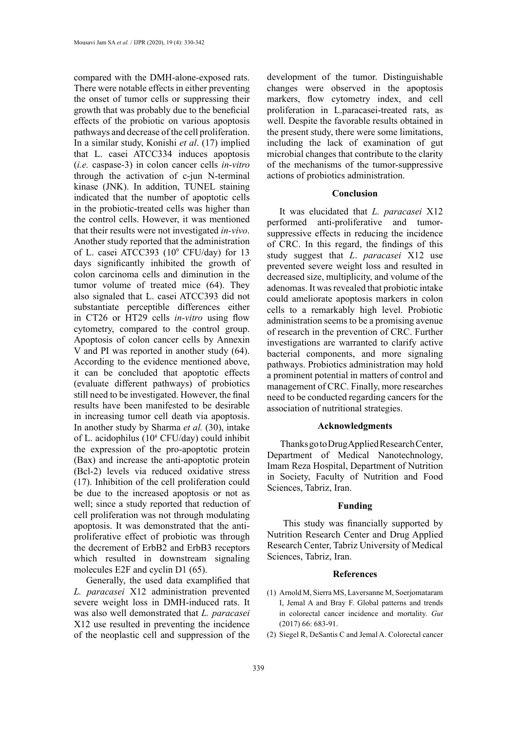compared with the DMH-alone-exposed rats. There were notable effects in either preventing the onset of tumor cells or suppressing their growth that was probably due to the beneficial effects of the probiotic on various apoptosis pathways and decrease of the cell proliferation. In a similar study, Konishi *et al*. (17) implied that L. casei ATCC334 induces apoptosis (*i.e.* caspase-3) in colon cancer cells *in-vitro* through the activation of c-jun N-terminal kinase (JNK). In addition, TUNEL staining indicated that the number of apoptotic cells in the probiotic-treated cells was higher than the control cells. However, it was mentioned that their results were not investigated *in-vivo*. Another study reported that the administration of L. casei ATCC393 (10<sup>9</sup> CFU/day) for 13 days significantly inhibited the growth of colon carcinoma cells and diminution in the tumor volume of treated mice (64). They also signaled that L. casei ATCC393 did not substantiate perceptible differences either in CT26 or HT29 cells *in-vitro* using flow cytometry, compared to the control group. Apoptosis of colon cancer cells by Annexin V and PI was reported in another study (64). According to the evidence mentioned above, it can be concluded that apoptotic effects (evaluate different pathways) of probiotics still need to be investigated. However, the final results have been manifested to be desirable in increasing tumor cell death via apoptosis. In another study by Sharma *et al.* (30), intake of L. acidophilus (108 CFU/day) could inhibit the expression of the pro-apoptotic protein (Bax) and increase the anti-apoptotic protein (Bcl-2) levels via reduced oxidative stress (17). Inhibition of the cell proliferation could be due to the increased apoptosis or not as well; since a study reported that reduction of cell proliferation was not through modulating apoptosis. It was demonstrated that the antiproliferative effect of probiotic was through the decrement of ErbB2 and ErbB3 receptors which resulted in downstream signaling molecules E2F and cyclin D1 (65).

Generally, the used data examplified that *L. paracasei* X12 administration prevented severe weight loss in DMH-induced rats. It was also well demonstrated that *L. paracasei* X12 use resulted in preventing the incidence of the neoplastic cell and suppression of the

development of the tumor. Distinguishable changes were observed in the apoptosis markers, flow cytometry index, and cell proliferation in L.paracasei-treated rats, as well. Despite the favorable results obtained in the present study, there were some limitations, including the lack of examination of gut microbial changes that contribute to the clarity of the mechanisms of the tumor-suppressive actions of probiotics administration.

## **Conclusion**

It was elucidated that *L. paracasei* X12 performed anti-proliferative and tumorsuppressive effects in reducing the incidence of CRC. In this regard, the findings of this study suggest that *L*. *paracasei* X12 use prevented severe weight loss and resulted in decreased size, multiplicity, and volume of the adenomas. It was revealed that probiotic intake could ameliorate apoptosis markers in colon cells to a remarkably high level. Probiotic administration seems to be a promising avenue of research in the prevention of CRC. Further investigations are warranted to clarify active bacterial components, and more signaling pathways. Probiotics administration may hold a prominent potential in matters of control and management of CRC. Finally, more researches need to be conducted regarding cancers for the association of nutritional strategies.

## **Acknowledgments**

 Thanks go to Drug Applied Research Center, Department of Medical Nanotechnology, Imam Reza Hospital, Department of Nutrition in Society, Faculty of Nutrition and Food Sciences, Tabriz, Iran.

## **Funding**

 This study was financially supported by Nutrition Research Center and Drug Applied Research Center, Tabriz University of Medical Sciences, Tabriz, Iran.

#### **References**

- (1) Arnold M, Sierra MS, Laversanne M, Soerjomataram I, Jemal A and Bray F. Global patterns and trends in colorectal cancer incidence and mortality. *Gut* (2017) 66: 683-91.
- (2) Siegel R, DeSantis C and Jemal A. Colorectal cancer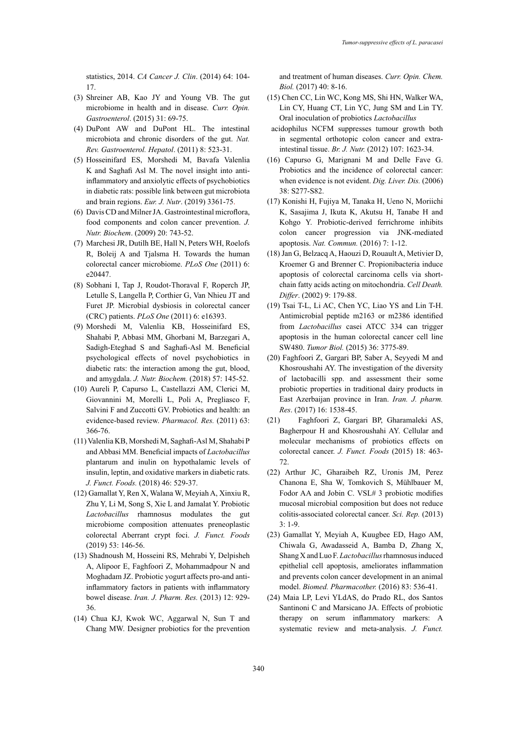statistics, 2014. *CA Cancer J. Clin*. (2014) 64: 104- 17.

- (3) Shreiner AB, Kao JY and Young VB. The gut microbiome in health and in disease. *Curr. Opin. Gastroenterol*. (2015) 31: 69-75.
- (4) DuPont AW and DuPont HL. The intestinal microbiota and chronic disorders of the gut. *Nat. Rev. Gastroenterol. Hepatol*. (2011) 8: 523-31.
- (5) Hosseinifard ES, Morshedi M, Bavafa Valenlia K and Saghafi Asl M. The novel insight into antiinflammatory and anxiolytic effects of psychobiotics in diabetic rats: possible link between gut microbiota and brain regions. *Eur. J. Nutr*. (2019) 3361-75.
- (6) Davis CD and Milner JA. Gastrointestinal microflora, food components and colon cancer prevention. *J. Nutr. Biochem*. (2009) 20: 743-52.
- (7) Marchesi JR, Dutilh BE, Hall N, Peters WH, Roelofs R, Boleij A and Tjalsma H. Towards the human colorectal cancer microbiome. *PLoS One* (2011) 6: e20447.
- (8) Sobhani I, Tap J, Roudot-Thoraval F, Roperch JP, Letulle S, Langella P, Corthier G, Van Nhieu JT and Furet JP. Microbial dysbiosis in colorectal cancer (CRC) patients. *PLoS One* (2011) 6: e16393.
- (9) Morshedi M, Valenlia KB, Hosseinifard ES, Shahabi P, Abbasi MM, Ghorbani M, Barzegari A, Sadigh-Eteghad S and Saghafi-Asl M. Beneficial psychological effects of novel psychobiotics in diabetic rats: the interaction among the gut, blood, and amygdala. *J. Nutr. Biochem.* (2018) 57: 145-52.
- (10) Aureli P, Capurso L, Castellazzi AM, Clerici M, Giovannini M, Morelli L, Poli A, Pregliasco F, Salvini F and Zuccotti GV. Probiotics and health: an evidence-based review. *Pharmacol. Res.* (2011) 63: 366-76.
- (11) Valenlia KB, Morshedi M, Saghafi-Asl M, Shahabi P and Abbasi MM. Beneficial impacts of *Lactobacillus* plantarum and inulin on hypothalamic levels of insulin, leptin, and oxidative markers in diabetic rats. *J. Funct. Foods.* (2018) 46: 529-37.
- (12) Gamallat Y, Ren X, Walana W, Meyiah A, Xinxiu R, Zhu Y, Li M, Song S, Xie L and Jamalat Y. Probiotic *Lactobacillus* rhamnosus modulates the gut microbiome composition attenuates preneoplastic colorectal Aberrant crypt foci. *J. Funct. Foods* (2019) 53: 146-56.
- (13) Shadnoush M, Hosseini RS, Mehrabi Y, Delpisheh A, Alipoor E, Faghfoori Z, Mohammadpour N and Moghadam JZ. Probiotic yogurt affects pro-and antiinflammatory factors in patients with inflammatory bowel disease. *Iran. J. Pharm. Res.* (2013) 12: 929- 36.
- (14) Chua KJ, Kwok WC, Aggarwal N, Sun T and Chang MW. Designer probiotics for the prevention

and treatment of human diseases. *Curr. Opin. Chem. Biol.* (2017) 40: 8-16.

- (15) Chen CC, Lin WC, Kong MS, Shi HN, Walker WA, Lin CY, Huang CT, Lin YC, Jung SM and Lin TY. Oral inoculation of probiotics *Lactobacillus*
- acidophilus NCFM suppresses tumour growth both in segmental orthotopic colon cancer and extraintestinal tissue. *Br. J. Nutr.* (2012) 107: 1623-34.
- (16) Capurso G, Marignani M and Delle Fave G. Probiotics and the incidence of colorectal cancer: when evidence is not evident. *Dig. Liver. Dis.* (2006) 38: S277-S82.
- (17) Konishi H, Fujiya M, Tanaka H, Ueno N, Moriichi K, Sasajima J, Ikuta K, Akutsu H, Tanabe H and Kohgo Y. Probiotic-derived ferrichrome inhibits colon cancer progression via JNK-mediated apoptosis. *Nat. Commun.* (2016) 7: 1-12.
- (18) Jan G, Belzacq A, Haouzi D, Rouault A, Metivier D, Kroemer G and Brenner C. Propionibacteria induce apoptosis of colorectal carcinoma cells via shortchain fatty acids acting on mitochondria. *Cell Death. Differ*. (2002) 9: 179-88.
- (19) Tsai T-L, Li AC, Chen YC, Liao YS and Lin T-H. Antimicrobial peptide m2163 or m2386 identified from *Lactobacillus* casei ATCC 334 can trigger apoptosis in the human colorectal cancer cell line SW480. *Tumor Biol.* (2015) 36: 3775-89.
- (20) Faghfoori Z, Gargari BP, Saber A, Seyyedi M and Khosroushahi AY. The investigation of the diversity of lactobacilli spp. and assessment their some probiotic properties in traditional dairy products in East Azerbaijan province in Iran. *Iran. J. pharm. Res*. (2017) 16: 1538-45.
- (21) Faghfoori Z, Gargari BP, Gharamaleki AS, Bagherpour H and Khosroushahi AY. Cellular and molecular mechanisms of probiotics effects on colorectal cancer. *J. Funct. Foods* (2015) 18: 463- 72.
- (22) Arthur JC, Gharaibeh RZ, Uronis JM, Perez Chanona E, Sha W, Tomkovich S, Mühlbauer M, Fodor AA and Jobin C. VSL# 3 probiotic modifies mucosal microbial composition but does not reduce colitis-associated colorectal cancer. *Sci. Rep.* (2013) 3: 1-9.
- (23) Gamallat Y, Meyiah A, Kuugbee ED, Hago AM, Chiwala G, Awadasseid A, Bamba D, Zhang X, Shang X and Luo F. *Lactobacillus* rhamnosus induced epithelial cell apoptosis, ameliorates inflammation and prevents colon cancer development in an animal model. *Biomed. Pharmacother.* (2016) 83: 536-41.
- (24) Maia LP, Levi YLdAS, do Prado RL, dos Santos Santinoni C and Marsicano JA. Effects of probiotic therapy on serum inflammatory markers: A systematic review and meta-analysis. *J. Funct.*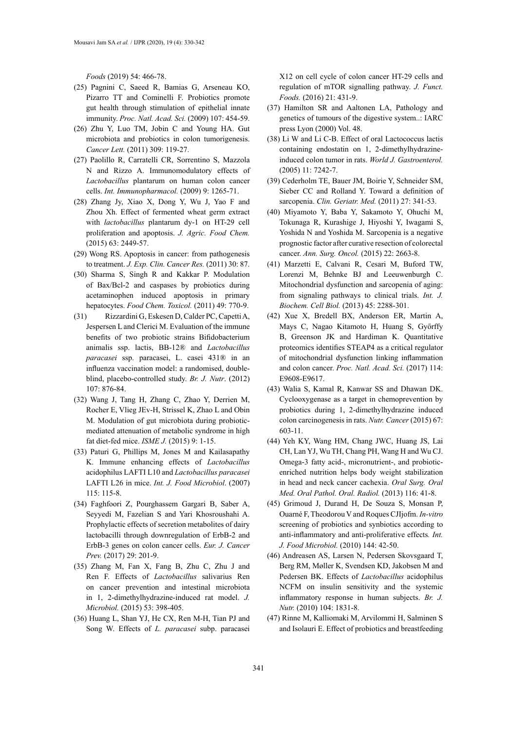*Foods* (2019) 54: 466-78.

- (25) Pagnini C, Saeed R, Bamias G, Arseneau KO, Pizarro TT and Cominelli F. Probiotics promote gut health through stimulation of epithelial innate immunity. *Proc. Natl. Acad. Sci.* (2009) 107: 454-59.
- (26) Zhu Y, Luo TM, Jobin C and Young HA. Gut microbiota and probiotics in colon tumorigenesis. *Cancer Lett.* (2011) 309: 119-27.
- (27) Paolillo R, Carratelli CR, Sorrentino S, Mazzola N and Rizzo A. Immunomodulatory effects of *Lactobacillus* plantarum on human colon cancer cells. *Int. Immunopharmacol.* (2009) 9: 1265-71.
- (28) Zhang Jy, Xiao X, Dong Y, Wu J, Yao F and Zhou Xh. Effect of fermented wheat germ extract with *lactobacillus* plantarum dy-1 on HT-29 cell proliferation and apoptosis. *J. Agric. Food Chem.* (2015) 63: 2449-57.
- (29) Wong RS. Apoptosis in cancer: from pathogenesis to treatment. *J. Exp. Clin. Cancer Res.* (2011) 30: 87.
- (30) Sharma S, Singh R and Kakkar P. Modulation of Bax/Bcl-2 and caspases by probiotics during acetaminophen induced apoptosis in primary hepatocytes. *Food Chem. Toxicol.* (2011) 49: 770-9.
- (31) Rizzardini G, Eskesen D, Calder PC, Capetti A, Jespersen L and Clerici M. Evaluation of the immune benefits of two probiotic strains Bifidobacterium animalis ssp. lactis, BB-12® and *Lactobacillus paracasei* ssp. paracasei, L. casei 431® in an influenza vaccination model: a randomised, doubleblind, placebo-controlled study. *Br. J. Nutr*. (2012) 107: 876-84.
- (32) Wang J, Tang H, Zhang C, Zhao Y, Derrien M, Rocher E, Vlieg JEv-H, Strissel K, Zhao L and Obin M. Modulation of gut microbiota during probioticmediated attenuation of metabolic syndrome in high fat diet-fed mice. *ISME J.* (2015) 9: 1-15.
- (33) Paturi G, Phillips M, Jones M and Kailasapathy K. Immune enhancing effects of *Lactobacillus* acidophilus LAFTI L10 and *Lactobacillus paracasei* LAFTI L26 in mice. *Int. J. Food Microbiol*. (2007) 115: 115-8.
- (34) Faghfoori Z, Pourghassem Gargari B, Saber A, Seyyedi M, Fazelian S and Yari Khosroushahi A. Prophylactic effects of secretion metabolites of dairy lactobacilli through downregulation of ErbB-2 and ErbB-3 genes on colon cancer cells. *Eur. J. Cancer Prev.* (2017) 29: 201-9.
- (35) Zhang M, Fan X, Fang B, Zhu C, Zhu J and Ren F. Effects of *Lactobacillus* salivarius Ren on cancer prevention and intestinal microbiota in 1, 2-dimethylhydrazine-induced rat model. *J. Microbiol.* (2015) 53: 398-405.
- (36) Huang L, Shan YJ, He CX, Ren M-H, Tian PJ and Song W. Effects of *L. paracasei* subp. paracasei

X12 on cell cycle of colon cancer HT-29 cells and regulation of mTOR signalling pathway. *J. Funct. Foods.* (2016) 21: 431-9.

- (37) Hamilton SR and Aaltonen LA, Pathology and genetics of tumours of the digestive system..: IARC press Lyon (2000) Vol. 48.
- (38) Li W and Li C-B. Effect of oral Lactococcus lactis containing endostatin on 1, 2-dimethylhydrazineinduced colon tumor in rats. *World J. Gastroenterol.*  (2005) 11: 7242-7.
- (39) Cederholm TE, Bauer JM, Boirie Y, Schneider SM, Sieber CC and Rolland Y. Toward a definition of sarcopenia. *Clin. Geriatr. Med.* (2011) 27: 341-53.
- (40) Miyamoto Y, Baba Y, Sakamoto Y, Ohuchi M, Tokunaga R, Kurashige J, Hiyoshi Y, Iwagami S, Yoshida N and Yoshida M. Sarcopenia is a negative prognostic factor after curative resection of colorectal cancer. *Ann. Surg. Oncol.* (2015) 22: 2663-8.
- (41) Marzetti E, Calvani R, Cesari M, Buford TW, Lorenzi M, Behnke BJ and Leeuwenburgh C. Mitochondrial dysfunction and sarcopenia of aging: from signaling pathways to clinical trials. *Int. J. Biochem. Cell Biol.* (2013) 45: 2288-301.
- (42) Xue X, Bredell BX, Anderson ER, Martin A, Mays C, Nagao Kitamoto H, Huang S, Győrffy B, Greenson JK and Hardiman K. Quantitative proteomics identifies STEAP4 as a critical regulator of mitochondrial dysfunction linking inflammation and colon cancer. *Proc. Natl. Acad. Sci.* (2017) 114: E9608-E9617.
- (43) Walia S, Kamal R, Kanwar SS and Dhawan DK. Cyclooxygenase as a target in chemoprevention by probiotics during 1, 2-dimethylhydrazine induced colon carcinogenesis in rats. *Nutr. Cancer* (2015) 67: 603-11.
- (44) Yeh KY, Wang HM, Chang JWC, Huang JS, Lai CH, Lan YJ, Wu TH, Chang PH, Wang H and Wu CJ. Omega-3 fatty acid-, micronutrient-, and probioticenriched nutrition helps body weight stabilization in head and neck cancer cachexia. *Oral Surg. Oral Med. Oral Pathol. Oral. Radiol.* (2013) 116: 41-8.
- (45) Grimoud J, Durand H, De Souza S, Monsan P, Ouarné F, Theodorou V and Roques CJIjofm. *In-vitro* screening of probiotics and synbiotics according to anti-inflammatory and anti-proliferative effects*. Int. J. Food Microbiol.* (2010) 144: 42-50.
- (46) Andreasen AS, Larsen N, Pedersen Skovsgaard T, Berg RM, Møller K, Svendsen KD, Jakobsen M and Pedersen BK. Effects of *Lactobacillus* acidophilus NCFM on insulin sensitivity and the systemic inflammatory response in human subjects. *Br. J. Nutr.* (2010) 104: 1831-8.
- (47) Rinne M, Kalliomaki M, Arvilommi H, Salminen S and Isolauri E. Effect of probiotics and breastfeeding